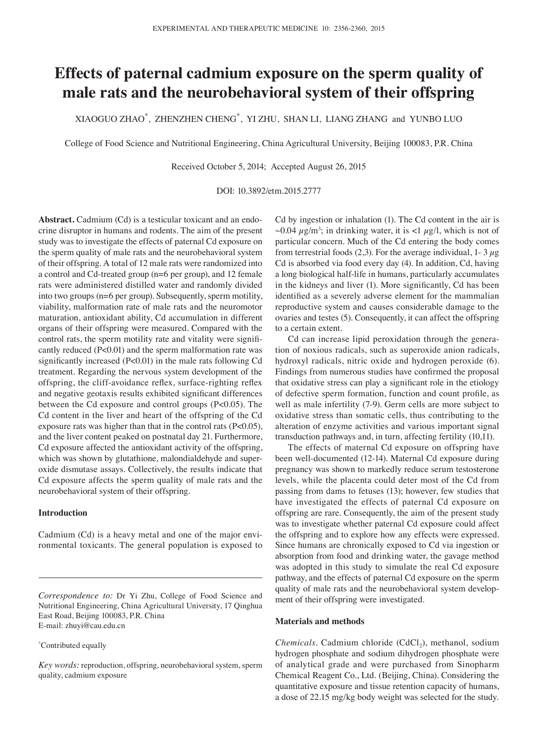# **Effects of paternal cadmium exposure on the sperm quality of male rats and the neurobehavioral system of their offspring**

XIAOGUO ZHAO\* , ZHENZHEN CHENG\* , YI ZHU, SHAN LI, LIANG ZHANG and YUNBO LUO

College of Food Science and Nutritional Engineering, China Agricultural University, Beijing 100083, P.R. China

Received October 5, 2014; Accepted August 26, 2015

DOI: 10.3892/etm.2015.2777

**Abstract.** Cadmium (Cd) is a testicular toxicant and an endocrine disruptor in humans and rodents. The aim of the present study was to investigate the effects of paternal Cd exposure on the sperm quality of male rats and the neurobehavioral system of their offspring. A total of 12 male rats were randomized into a control and Cd-treated group (n=6 per group), and 12 female rats were administered distilled water and randomly divided into two groups (n=6 per group). Subsequently, sperm motility, viability, malformation rate of male rats and the neuromotor maturation, antioxidant ability, Cd accumulation in different organs of their offspring were measured. Compared with the control rats, the sperm motility rate and vitality were significantly reduced (P<0.01) and the sperm malformation rate was significantly increased (P<0.01) in the male rats following Cd treatment. Regarding the nervous system development of the offspring, the cliff-avoidance reflex, surface-righting reflex and negative geotaxis results exhibited significant differences between the Cd exposure and control groups (P<0.05). The Cd content in the liver and heart of the offspring of the Cd exposure rats was higher than that in the control rats (P<0.05), and the liver content peaked on postnatal day 21. Furthermore, Cd exposure affected the antioxidant activity of the offspring, which was shown by glutathione, malondialdehyde and superoxide dismutase assays. Collectively, the results indicate that Cd exposure affects the sperm quality of male rats and the neurobehavioral system of their offspring.

## **Introduction**

Cadmium (Cd) is a heavy metal and one of the major environmental toxicants. The general population is exposed to

#### \* Contributed equally

*Key words:* reproduction, offspring, neurobehavioral system, sperm quality, cadmium exposure

Cd by ingestion or inhalation (1). The Cd content in the air is ~0.04  $\mu$ g/m<sup>3</sup>; in drinking water, it is <1  $\mu$ g/l, which is not of particular concern. Much of the Cd entering the body comes from terrestrial foods (2,3). For the average individual, 1-  $3 \mu$ g Cd is absorbed via food every day (4). In addition, Cd, having a long biological half-life in humans, particularly accumulates in the kidneys and liver (1). More significantly, Cd has been identified as a severely adverse element for the mammalian reproductive system and causes considerable damage to the ovaries and testes (5). Consequently, it can affect the offspring to a certain extent.

Cd can increase lipid peroxidation through the generation of noxious radicals, such as superoxide anion radicals, hydroxyl radicals, nitric oxide and hydrogen peroxide (6). Findings from numerous studies have confirmed the proposal that oxidative stress can play a significant role in the etiology of defective sperm formation, function and count profile, as well as male infertility (7-9). Germ cells are more subject to oxidative stress than somatic cells, thus contributing to the alteration of enzyme activities and various important signal transduction pathways and, in turn, affecting fertility (10,11).

The effects of maternal Cd exposure on offspring have been well-documented (12-14). Maternal Cd exposure during pregnancy was shown to markedly reduce serum testosterone levels, while the placenta could deter most of the Cd from passing from dams to fetuses (13); however, few studies that have investigated the effects of paternal Cd exposure on offspring are rare. Consequently, the aim of the present study was to investigate whether paternal Cd exposure could affect the offspring and to explore how any effects were expressed. Since humans are chronically exposed to Cd via ingestion or absorption from food and drinking water, the gavage method was adopted in this study to simulate the real Cd exposure pathway, and the effects of paternal Cd exposure on the sperm quality of male rats and the neurobehavioral system development of their offspring were investigated.

## **Materials and methods**

*Chemicals.* Cadmium chloride (CdCl<sub>2</sub>), methanol, sodium hydrogen phosphate and sodium dihydrogen phosphate were of analytical grade and were purchased from Sinopharm Chemical Reagent Co., Ltd. (Beijing, China). Considering the quantitative exposure and tissue retention capacity of humans, a dose of 22.15 mg/kg body weight was selected for the study.

*Correspondence to:* Dr Yi Zhu, College of Food Science and Nutritional Engineering, China Agricultural University, 17 Qinghua East Road, Beijing 100083, P.R. China E-mail: zhuyi@cau.edu.cn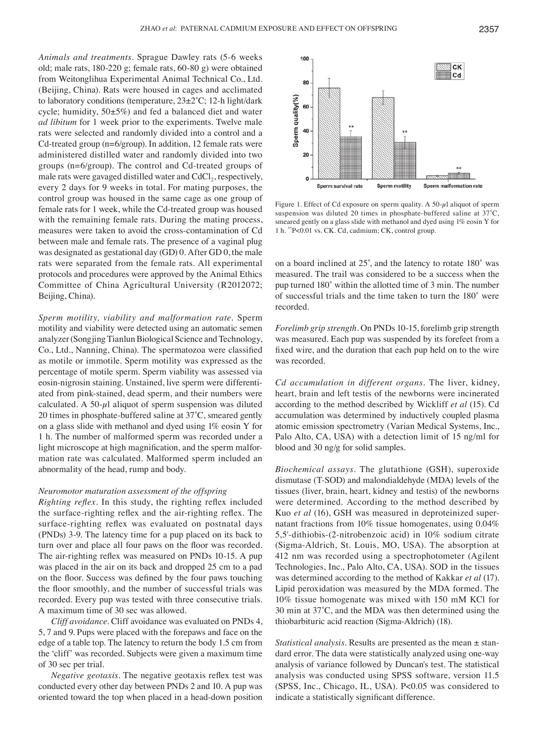*Animals and treatments.* Sprague Dawley rats (5-6 weeks old; male rats, 180-220 g; female rats, 60-80 g) were obtained from Weitonglihua Experimental Animal Technical Co., Ltd. (Beijing, China). Rats were housed in cages and acclimated to laboratory conditions (temperature,  $23\pm2^{\circ}\text{C}$ ; 12-h light/dark cycle; humidity, 50±5%) and fed a balanced diet and water *ad libitum* for 1 week prior to the experiments. Twelve male rats were selected and randomly divided into a control and a Cd-treated group (n=6/group). In addition, 12 female rats were administered distilled water and randomly divided into two groups (n=6/group). The control and Cd-treated groups of male rats were gavaged distilled water and  $CdCl<sub>2</sub>$ , respectively, every 2 days for 9 weeks in total. For mating purposes, the control group was housed in the same cage as one group of female rats for 1 week, while the Cd-treated group was housed with the remaining female rats. During the mating process, measures were taken to avoid the cross-contamination of Cd between male and female rats. The presence of a vaginal plug was designated as gestational day (GD) 0. After GD 0, the male rats were separated from the female rats. All experimental protocols and procedures were approved by the Animal Ethics Committee of China Agricultural University (R2012072; Beijing, China).

*Sperm motility, viability and malformation rate.* Sperm motility and viability were detected using an automatic semen analyzer (Songjing Tianlun Biological Science and Technology, Co., Ltd., Nanning, China). The spermatozoa were classified as motile or immotile. Sperm motility was expressed as the percentage of motile sperm. Sperm viability was assessed via eosin-nigrosin staining. Unstained, live sperm were differentiated from pink-stained, dead sperm, and their numbers were calculated. A 50- $\mu$ l aliquot of sperm suspension was diluted 20 times in phosphate-buffered saline at 37˚C, smeared gently on a glass slide with methanol and dyed using 1% eosin Y for 1 h. The number of malformed sperm was recorded under a light microscope at high magnification, and the sperm malformation rate was calculated. Malformed sperm included an abnormality of the head, rump and body.

#### *Neuromotor maturation assessment of the offspring*

*Righting reflex.* In this study, the righting reflex included the surface‑righting reflex and the air‑righting reflex. The surface-righting reflex was evaluated on postnatal days (PNDs) 3-9. The latency time for a pup placed on its back to turn over and place all four paws on the floor was recorded. The air-righting reflex was measured on PNDs 10–15. A pup was placed in the air on its back and dropped 25 cm to a pad on the floor. Success was defined by the four paws touching the floor smoothly, and the number of successful trials was recorded. Every pup was tested with three consecutive trials. A maximum time of 30 sec was allowed.

*Cliff avoidance*. Cliff avoidance was evaluated on PNDs 4, 5, 7 and 9. Pups were placed with the forepaws and face on the edge of a table top. The latency to return the body 1.5 cm from the 'cliff' was recorded. Subjects were given a maximum time of 30 sec per trial.

*Negative geotaxis*. The negative geotaxis reflex test was conducted every other day between PNDs 2 and 10. A pup was oriented toward the top when placed in a head-down position



Figure 1. Effect of Cd exposure on sperm quality. A 50- $\mu$ l aliquot of sperm suspension was diluted 20 times in phosphate-buffered saline at 37°C, smeared gently on a glass slide with methanol and dyed using 1% eosin Y for 1 h. \*\*P<0.01 vs. CK. Cd, cadmium; CK, control group.

on a board inclined at 25˚, and the latency to rotate 180˚ was measured. The trail was considered to be a success when the pup turned 180˚ within the allotted time of 3 min. The number of successful trials and the time taken to turn the 180˚ were recorded.

*Forelimb grip strength.* On PNDs 10-15, forelimb grip strength was measured. Each pup was suspended by its forefeet from a fixed wire, and the duration that each pup held on to the wire was recorded.

*Cd accumulation in different organs.* The liver, kidney, heart, brain and left testis of the newborns were incinerated according to the method described by Wickliff *et al* (15). Cd accumulation was determined by inductively coupled plasma atomic emission spectrometry (Varian Medical Systems, Inc., Palo Alto, CA, USA) with a detection limit of 15 ng/ml for blood and 30 ng/g for solid samples.

*Biochemical assays.* The glutathione (GSH), superoxide dismutase (T-SOD) and malondialdehyde (MDA) levels of the tissues (liver, brain, heart, kidney and testis) of the newborns were determined. According to the method described by Kuo *et al* (16), GSH was measured in deproteinized supernatant fractions from 10% tissue homogenates, using 0.04% 5,5'-dithiobis-(2-nitrobenzoic acid) in 10% sodium citrate (Sigma-Aldrich, St. Louis, MO, USA). The absorption at 412 nm was recorded using a spectrophotometer (Agilent Technologies, Inc., Palo Alto, CA, USA). SOD in the tissues was determined according to the method of Kakkar *et al* (17). Lipid peroxidation was measured by the MDA formed. The 10% tissue homogenate was mixed with 150 mM KCl for 30 min at 37˚C, and the MDA was then determined using the thiobarbituric acid reaction (Sigma-Aldrich) (18).

*Statistical analysis.* Results are presented as the mean ± standard error. The data were statistically analyzed using one-way analysis of variance followed by Duncan's test. The statistical analysis was conducted using SPSS software, version 11.5 (SPSS, Inc., Chicago, IL, USA). P<0.05 was considered to indicate a statistically significant difference.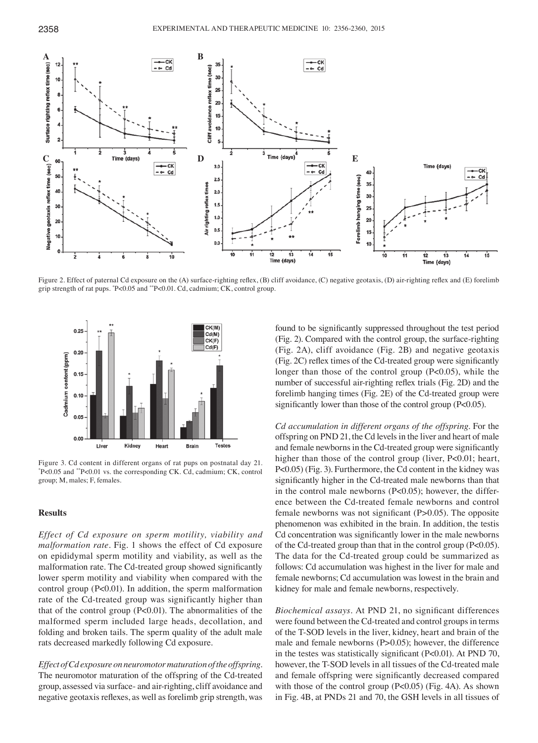

Figure 2. Effect of paternal Cd exposure on the (A) surface-righting reflex, (B) cliff avoidance, (C) negative geotaxis, (D) air-righting reflex and (E) forelimb grip strength of rat pups. \* P<0.05 and \*\*P<0.01. Cd, cadmium; CK, control group.



Figure 3. Cd content in different organs of rat pups on postnatal day 21. P<0.05 and \*\*P<0.01 vs. the corresponding CK. Cd, cadmium; CK, control group; M, males; F, females.

## **Results**

*Effect of Cd exposure on sperm motility, viability and malformation rate.* Fig. 1 shows the effect of Cd exposure on epididymal sperm motility and viability, as well as the malformation rate. The Cd-treated group showed significantly lower sperm motility and viability when compared with the control group (P<0.01). In addition, the sperm malformation rate of the Cd-treated group was significantly higher than that of the control group (P<0.01). The abnormalities of the malformed sperm included large heads, decollation, and folding and broken tails. The sperm quality of the adult male rats decreased markedly following Cd exposure.

*Effect of Cd exposure on neuromotor maturation of the offspring.*  The neuromotor maturation of the offspring of the Cd-treated group, assessed via surface- and air-righting, cliff avoidance and negative geotaxis reflexes, as well as forelimb grip strength, was found to be significantly suppressed throughout the test period (Fig. 2). Compared with the control group, the surface-righting (Fig. 2A), cliff avoidance (Fig. 2B) and negative geotaxis (Fig. 2C) reflex times of the Cd‑treated group were significantly longer than those of the control group (P<0.05), while the number of successful air-righting reflex trials (Fig. 2D) and the forelimb hanging times (Fig. 2E) of the Cd-treated group were significantly lower than those of the control group (P<0.05).

*Cd accumulation in different organs of the offspring.* For the offspring on PND 21, the Cd levels in the liver and heart of male and female newborns in the Cd-treated group were significantly higher than those of the control group (liver, P<0.01; heart, P<0.05) (Fig. 3). Furthermore, the Cd content in the kidney was significantly higher in the Cd-treated male newborns than that in the control male newborns (P<0.05); however, the difference between the Cd-treated female newborns and control female newborns was not significant (P>0.05). The opposite phenomenon was exhibited in the brain. In addition, the testis Cd concentration was significantly lower in the male newborns of the Cd-treated group than that in the control group (P<0.05). The data for the Cd-treated group could be summarized as follows: Cd accumulation was highest in the liver for male and female newborns; Cd accumulation was lowest in the brain and kidney for male and female newborns, respectively.

*Biochemical assays.* At PND 21, no significant differences were found between the Cd-treated and control groups in terms of the T-SOD levels in the liver, kidney, heart and brain of the male and female newborns (P>0.05); however, the difference in the testes was statistically significant (P<0.01). At PND 70, however, the T-SOD levels in all tissues of the Cd-treated male and female offspring were significantly decreased compared with those of the control group (P<0.05) (Fig. 4A). As shown in Fig. 4B, at PNDs 21 and 70, the GSH levels in all tissues of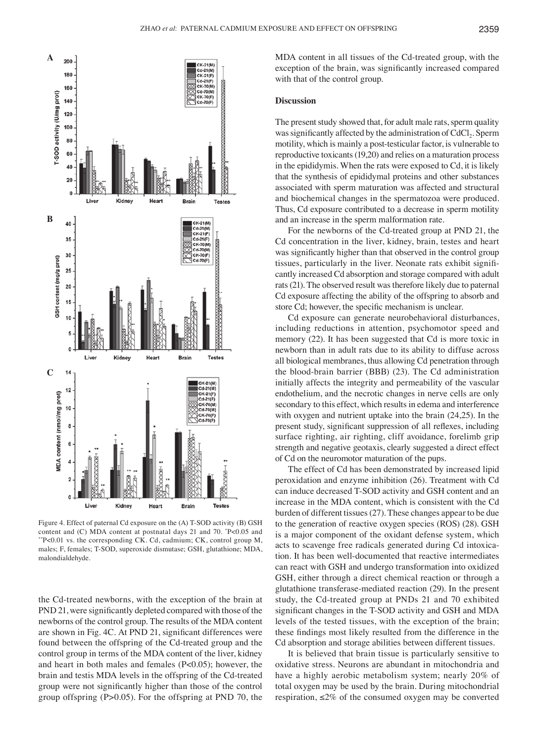

Figure 4. Effect of paternal Cd exposure on the (A) T-SOD activity (B) GSH content and (C) MDA content at postnatal days 21 and 70. \*P<0.05 and P<0.05 and \*\*P<0.01 vs. the corresponding CK. Cd, cadmium; CK, control group M, males; F, females; T-SOD, superoxide dismutase; GSH, glutathione; MDA, malondialdehyde.

the Cd-treated newborns, with the exception of the brain at PND 21, were significantly depleted compared with those of the newborns of the control group. The results of the MDA content are shown in Fig. 4C. At PND 21, significant differences were found between the offspring of the Cd-treated group and the control group in terms of the MDA content of the liver, kidney and heart in both males and females (P<0.05); however, the brain and testis MDA levels in the offspring of the Cd-treated group were not significantly higher than those of the control group offspring (P>0.05). For the offspring at PND 70, the MDA content in all tissues of the Cd-treated group, with the exception of the brain, was significantly increased compared with that of the control group.

### **Discussion**

The present study showed that, for adult male rats, sperm quality was significantly affected by the administration of CdCl<sub>2</sub>. Sperm motility, which is mainly a post-testicular factor, is vulnerable to reproductive toxicants(19,20) and relies on a maturation process in the epididymis. When the rats were exposed to Cd, it is likely that the synthesis of epididymal proteins and other substances associated with sperm maturation was affected and structural and biochemical changes in the spermatozoa were produced. Thus, Cd exposure contributed to a decrease in sperm motility and an increase in the sperm malformation rate.

For the newborns of the Cd-treated group at PND 21, the Cd concentration in the liver, kidney, brain, testes and heart was significantly higher than that observed in the control group tissues, particularly in the liver. Neonate rats exhibit significantly increased Cd absorption and storage compared with adult rats(21). The observed result was therefore likely due to paternal Cd exposure affecting the ability of the offspring to absorb and store Cd; however, the specific mechanism is unclear.

Cd exposure can generate neurobehavioral disturbances, including reductions in attention, psychomotor speed and memory (22). It has been suggested that Cd is more toxic in newborn than in adult rats due to its ability to diffuse across all biological membranes, thus allowing Cd penetration through the blood-brain barrier (BBB) (23). The Cd administration initially affects the integrity and permeability of the vascular endothelium, and the necrotic changes in nerve cells are only secondary to this effect, which results in edema and interference with oxygen and nutrient uptake into the brain (24,25). In the present study, significant suppression of all reflexes, including surface righting, air righting, cliff avoidance, forelimb grip strength and negative geotaxis, clearly suggested a direct effect of Cd on the neuromotor maturation of the pups.

The effect of Cd has been demonstrated by increased lipid peroxidation and enzyme inhibition (26). Treatment with Cd can induce decreased T-SOD activity and GSH content and an increase in the MDA content, which is consistent with the Cd burden of different tissues(27). These changes appear to be due to the generation of reactive oxygen species (ROS) (28). GSH is a major component of the oxidant defense system, which acts to scavenge free radicals generated during Cd intoxication. It has been well-documented that reactive intermediates can react with GSH and undergo transformation into oxidized GSH, either through a direct chemical reaction or through a glutathione transferase-mediated reaction (29). In the present study, the Cd-treated group at PNDs 21 and 70 exhibited significant changes in the T‑SOD activity and GSH and MDA levels of the tested tissues, with the exception of the brain; these findings most likely resulted from the difference in the Cd absorption and storage abilities between different tissues.

It is believed that brain tissue is particularly sensitive to oxidative stress. Neurons are abundant in mitochondria and have a highly aerobic metabolism system; nearly 20% of total oxygen may be used by the brain. During mitochondrial respiration,  $\leq 2\%$  of the consumed oxygen may be converted